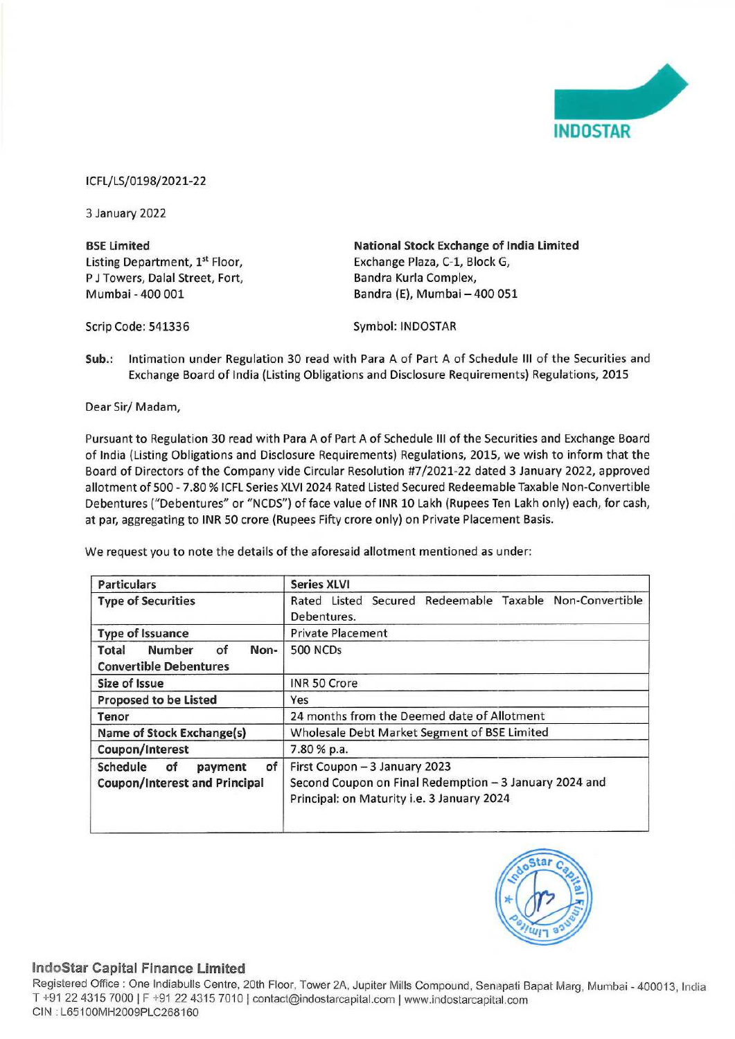

Pursuant to Regulation 30 read with Para A of Part A of Schedule III of the Securities and Exchange Board of India (Listing Obligations and Disclosure Requirements) Regulations, 2015, we wish to inform that the Board of Directors of the Company vide Circular Resolution #7/2021-22 dated 3 January 2022, approved allotment of 500 - 7.80 % ICFL Series XLVI 2024 Rated Listed Secured Redeemable Taxable Non-Convertible Debentures ("Debentures" or "NCDS") of face value of INR 10 Lakh (Rupees Ten Lakh only) each, for cash, at par, aggregating to INR 50 crore (Rupees Fifty crore only) on Private Placement Basis. CFL/LS/0198/2021-22<br>
I January 2022<br>
I January 2022<br>
I January 2022<br>
I January 2022<br>
I January 2022<br>
I Given the Exchange Board of India (Listing Obligations a<br>
Syr<br>
Circle: 541336<br>
Syr<br>
Unb.: Intimation under Regulation 3 CFL/LS/0198/2021-22<br>
SE Limited<br>
SE Limited<br>
SE Limited<br>
SE Limited<br>
SE Limited<br>
SE Limited<br>
SE Limited<br>
SE Limited<br>
SE Limited<br>
SE Limited<br>
SERICAL SERICAL BRAING<br>
SERICAL BRAING SUPPOSE<br>
SERICAL SERICAL SERICAL SERICAL S CFL/LS/0198/2021-22<br>
IJ January 2022<br>
SEE Limited<br>
ISE Limited<br>
ISE Limited<br>
ISE Limited<br>
J J Towers, Dalal Street, Fort,<br>
Ban<br>
Internation under Regulation 30 read with Para A of Part A<br>
City: Internation under Regulation CFL/LS/0198/2021-22<br>
SI January 2022<br>
SI January 2022<br>
SI January 2022<br>
SI January 2022<br>
January 2022<br>
January 2022<br>
January 2022<br>
Civideon CF (State Fort, Balal Street, Fort, Balal Si Syr<br>
Civideon CP (State Board of Ind

|                                                                                                                       | <b>INDOSTAR</b>                                                                                                                                                                                                                                                                                                                                                                                                                                                                                               |
|-----------------------------------------------------------------------------------------------------------------------|---------------------------------------------------------------------------------------------------------------------------------------------------------------------------------------------------------------------------------------------------------------------------------------------------------------------------------------------------------------------------------------------------------------------------------------------------------------------------------------------------------------|
| CFL/LS/0198/2021-22                                                                                                   |                                                                                                                                                                                                                                                                                                                                                                                                                                                                                                               |
| 3 January 2022                                                                                                        |                                                                                                                                                                                                                                                                                                                                                                                                                                                                                                               |
| <b>BSE Limited</b><br>Listing Department, 1 <sup>st</sup> Floor,<br>J Towers, Dalal Street, Fort,<br>Mumbai - 400 001 | National Stock Exchange of India Limited<br>Exchange Plaza, C-1, Block G,<br>Bandra Kurla Complex,<br>Bandra (E), Mumbai - 400 051                                                                                                                                                                                                                                                                                                                                                                            |
| Scrip Code: 541336                                                                                                    | Symbol: INDOSTAR                                                                                                                                                                                                                                                                                                                                                                                                                                                                                              |
| $sub.$ :                                                                                                              | Intimation under Regulation 30 read with Para A of Part A of Schedule III of the Securities and<br>Exchange Board of India (Listing Obligations and Disclosure Requirements) Regulations, 2015                                                                                                                                                                                                                                                                                                                |
| Dear Sir/Madam,                                                                                                       |                                                                                                                                                                                                                                                                                                                                                                                                                                                                                                               |
|                                                                                                                       | Board of Directors of the Company vide Circular Resolution #7/2021-22 dated 3 January 2022, approved<br>allotment of 500 - 7.80 % ICFL Series XLVI 2024 Rated Listed Secured Redeemable Taxable Non-Convertible<br>("Debentures ("Debentures" or "NCDS") of face value of INR 10 Lakh (Rupees Ten Lakh only) each, for cash<br>at par, aggregating to INR 50 crore (Rupees Fifty crore only) on Private Placement Basis.<br>Ne request you to note the details of the aforesaid allotment mentioned as under: |
| <b>Particulars</b>                                                                                                    | <b>Series XLVI</b>                                                                                                                                                                                                                                                                                                                                                                                                                                                                                            |
| <b>Type of Securities</b>                                                                                             | Rated Listed Secured Redeemable Taxable Non-Convertible<br>Debentures.                                                                                                                                                                                                                                                                                                                                                                                                                                        |
| <b>Type of Issuance</b>                                                                                               | <b>Private Placement</b>                                                                                                                                                                                                                                                                                                                                                                                                                                                                                      |
| <b>Total</b><br>Number<br>of<br>Non-<br><b>Convertible Debentures</b>                                                 | 500 NCDs                                                                                                                                                                                                                                                                                                                                                                                                                                                                                                      |
| Size of Issue                                                                                                         | INR 50 Crore                                                                                                                                                                                                                                                                                                                                                                                                                                                                                                  |
| Proposed to be Listed                                                                                                 | Yes                                                                                                                                                                                                                                                                                                                                                                                                                                                                                                           |
| Tenor                                                                                                                 | 24 months from the Deemed date of Allotment                                                                                                                                                                                                                                                                                                                                                                                                                                                                   |
| Name of Stock Exchange(s)                                                                                             | Wholesale Debt Market Segment of BSE Limited                                                                                                                                                                                                                                                                                                                                                                                                                                                                  |
| Coupon/Interest                                                                                                       | 7.80 % p.a.                                                                                                                                                                                                                                                                                                                                                                                                                                                                                                   |
| Schedule<br>of<br>of<br>payment                                                                                       | First Coupon - 3 January 2023                                                                                                                                                                                                                                                                                                                                                                                                                                                                                 |
| <b>Coupon/Interest and Principal</b>                                                                                  | Second Coupon on Final Redemption - 3 January 2024 and<br>Principal: on Maturity i.e. 3 January 2024                                                                                                                                                                                                                                                                                                                                                                                                          |



## IndoStar Capital Finance Limited

napati Bap<br>tal.com Registered Office : One Indiabulls Centre, 20th Floor, Tower 2A, Jupiter Mills Compound, Senapati Bapat Marg, Mumbai - 400013, India T +91 22 4315 7000 | F +91 22 4315 7010 | contact@indostarcapital.com | www.indostarcapital.com CIN : L65100MH2009PLC268160